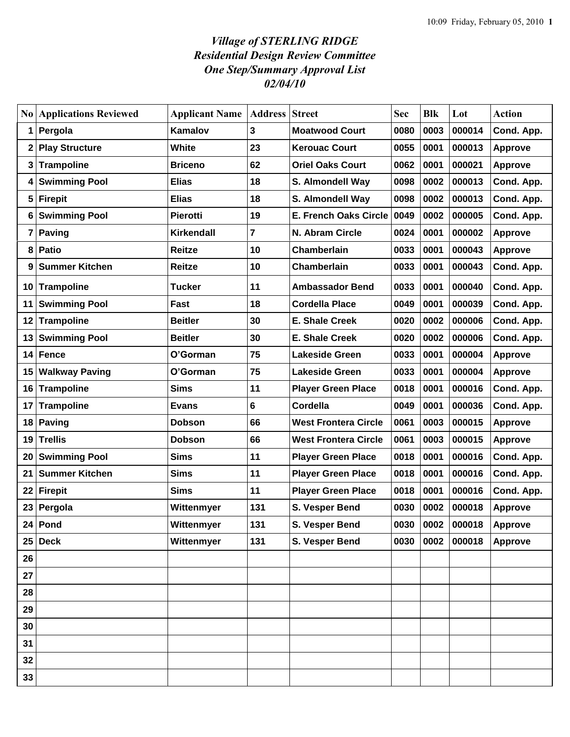## *Village of STERLING RIDGE Residential Design Review Committee One Step/Summary Approval List 02/04/10*

|    | <b>No Applications Reviewed</b> | <b>Applicant Name</b> | <b>Address Street</b> |                              | <b>Sec</b> | <b>Blk</b> | Lot              | <b>Action</b>  |
|----|---------------------------------|-----------------------|-----------------------|------------------------------|------------|------------|------------------|----------------|
| 1  | Pergola                         | Kamalov               | 3                     | <b>Moatwood Court</b>        | 0080       | 0003       | 000014           | Cond. App.     |
|    | 2 Play Structure                | White                 | 23                    | <b>Kerouac Court</b>         | 0055       | 0001       | 000013           | <b>Approve</b> |
|    | 3 Trampoline                    | <b>Briceno</b>        | 62                    | <b>Oriel Oaks Court</b>      | 0062       | 0001       | 000021           | <b>Approve</b> |
| 4  | <b>Swimming Pool</b>            | <b>Elias</b>          | 18                    | S. Almondell Way             | 0098       | 0002       | 000013           | Cond. App.     |
| 5  | <b>Firepit</b>                  | <b>Elias</b>          | 18                    | S. Almondell Way             | 0098       | 0002       | 000013           | Cond. App.     |
| 6  | <b>Swimming Pool</b>            | <b>Pierotti</b>       | 19                    | <b>E. French Oaks Circle</b> | 0049       | 0002       | 000005           | Cond. App.     |
| 7  | Paving                          | Kirkendall            | $\overline{7}$        | N. Abram Circle              | 0024       | 0001       | 000002           | Approve        |
| 8  | <b>Patio</b>                    | Reitze                | 10                    | Chamberlain                  | 0033       | 0001       | 000043           | Approve        |
| 9  | <b>Summer Kitchen</b>           | Reitze                | 10                    | Chamberlain                  | 0033       | 0001       | 000043           | Cond. App.     |
|    | 10 Trampoline                   | Tucker                | 11                    | <b>Ambassador Bend</b>       | 0033       | 0001       | 000040           | Cond. App.     |
| 11 | <b>Swimming Pool</b>            | Fast                  | 18                    | <b>Cordella Place</b>        | 0049       | 0001       | 000039           | Cond. App.     |
|    | 12 Trampoline                   | <b>Beitler</b>        | 30                    | <b>E. Shale Creek</b>        | 0020       | 0002       | 000006           | Cond. App.     |
| 13 | <b>Swimming Pool</b>            | <b>Beitler</b>        | 30                    | <b>E. Shale Creek</b>        | 0020       | 0002       | 000006           | Cond. App.     |
| 14 | <b>Fence</b>                    | O'Gorman              | 75                    | <b>Lakeside Green</b>        | 0033       | 0001       | 000004           | Approve        |
| 15 | <b>Walkway Paving</b>           | O'Gorman              | 75                    | <b>Lakeside Green</b>        | 0033       | 0001       | 000004           | <b>Approve</b> |
|    | 16 Trampoline                   | Sims                  | 11                    | <b>Player Green Place</b>    | 0018       | 0001       | 000016           | Cond. App.     |
| 17 | <b>Trampoline</b>               | <b>Evans</b>          | 6                     | Cordella                     | 0049       | 0001       | 000036           | Cond. App.     |
| 18 | <b>Paving</b>                   | <b>Dobson</b>         | 66                    | <b>West Frontera Circle</b>  | 0061       | 0003       | 000015           | Approve        |
| 19 | <b>Trellis</b>                  | <b>Dobson</b>         | 66                    | <b>West Frontera Circle</b>  | 0061       | 0003       | 000015           | <b>Approve</b> |
| 20 | <b>Swimming Pool</b>            | <b>Sims</b>           | 11                    | <b>Player Green Place</b>    | 0018       | 0001       | 000016           | Cond. App.     |
| 21 | <b>Summer Kitchen</b>           | <b>Sims</b>           | 11                    | <b>Player Green Place</b>    | 0018       | 0001       | 000016           | Cond. App.     |
|    | 22 Firepit                      | <b>Sims</b>           | 11                    | <b>Player Green Place</b>    | 0018       | 0001       | 000016           | Cond. App.     |
|    | 23 Pergola                      | Wittenmyer            | 131                   | S. Vesper Bend               | 0030       | 0002       | 000018           | Approve        |
|    | 24 Pond                         | Wittenmyer            | 131                   | S. Vesper Bend               |            |            | 0030 0002 000018 | Approve        |
|    | $25$ Deck                       | Wittenmyer            | 131                   | S. Vesper Bend               | 0030       | 0002       | 000018           | <b>Approve</b> |
| 26 |                                 |                       |                       |                              |            |            |                  |                |
| 27 |                                 |                       |                       |                              |            |            |                  |                |
| 28 |                                 |                       |                       |                              |            |            |                  |                |
| 29 |                                 |                       |                       |                              |            |            |                  |                |
| 30 |                                 |                       |                       |                              |            |            |                  |                |
| 31 |                                 |                       |                       |                              |            |            |                  |                |
| 32 |                                 |                       |                       |                              |            |            |                  |                |
| 33 |                                 |                       |                       |                              |            |            |                  |                |